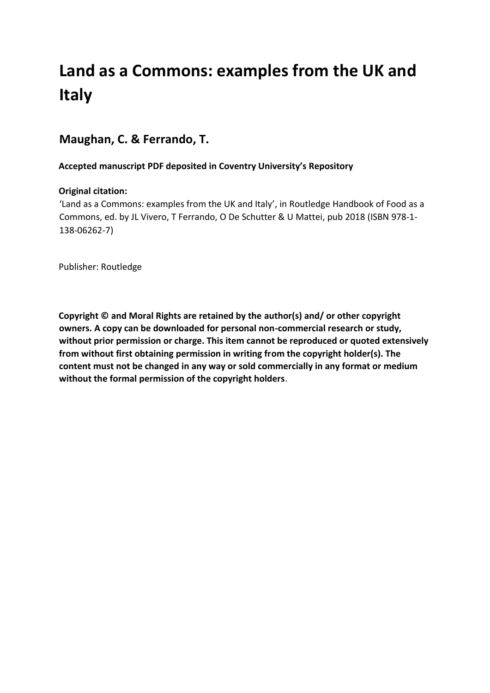# **Land as a Commons: examples from the UK and Italy**

# **Maughan, C. & Ferrando, T.**

**Accepted manuscript PDF deposited in Coventry University's Repository** 

## **Original citation:**

'Land as a Commons: examples from the UK and Italy', in Routledge Handbook of Food as a Commons, ed. by JL Vivero, T Ferrando, O De Schutter & U Mattei, pub 2018 (ISBN 978-1- 138-06262-7)

Publisher: Routledge

**Copyright © and Moral Rights are retained by the author(s) and/ or other copyright owners. A copy can be downloaded for personal non-commercial research or study, without prior permission or charge. This item cannot be reproduced or quoted extensively from without first obtaining permission in writing from the copyright holder(s). The content must not be changed in any way or sold commercially in any format or medium without the formal permission of the copyright holders**.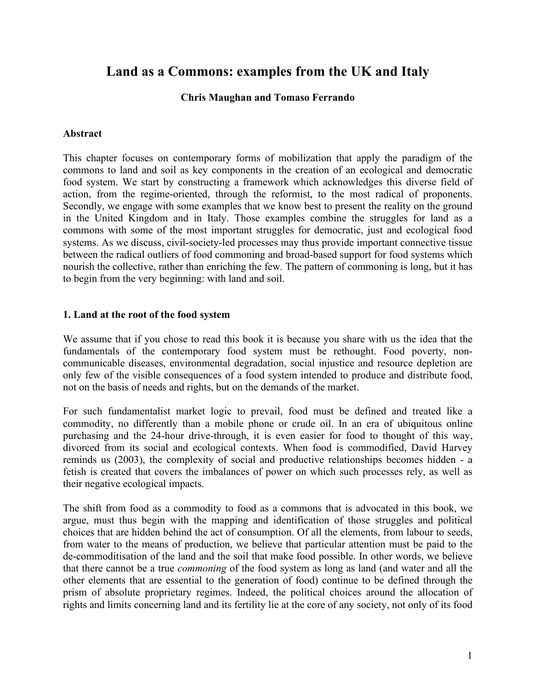# **Land as a Commons: examples from the UK and Italy**

#### **Chris Maughan and Tomaso Ferrando**

#### **Abstract**

This chapter focuses on contemporary forms of mobilization that apply the paradigm of the commons to land and soil as key components in the creation of an ecological and democratic food system. We start by constructing a framework which acknowledges this diverse field of action, from the regime-oriented, through the reformist, to the most radical of proponents. Secondly, we engage with some examples that we know best to present the reality on the ground in the United Kingdom and in Italy. Those examples combine the struggles for land as a commons with some of the most important struggles for democratic, just and ecological food systems. As we discuss, civil-society-led processes may thus provide important connective tissue between the radical outliers of food commoning and broad-based support for food systems which nourish the collective, rather than enriching the few. The pattern of commoning is long, but it has to begin from the very beginning: with land and soil.

#### **1. Land at the root of the food system**

We assume that if you chose to read this book it is because you share with us the idea that the fundamentals of the contemporary food system must be rethought. Food poverty, noncommunicable diseases, environmental degradation, social injustice and resource depletion are only few of the visible consequences of a food system intended to produce and distribute food, not on the basis of needs and rights, but on the demands of the market.

For such fundamentalist market logic to prevail, food must be defined and treated like a commodity, no differently than a mobile phone or crude oil. In an era of ubiquitous online purchasing and the 24-hour drive-through, it is even easier for food to thought of this way, divorced from its social and ecological contexts. When food is commodified, David Harvey reminds us (2003), the complexity of social and productive relationships becomes hidden - a fetish is created that covers the imbalances of power on which such processes rely, as well as their negative ecological impacts.

The shift from food as a commodity to food as a commons that is advocated in this book, we argue, must thus begin with the mapping and identification of those struggles and political choices that are hidden behind the act of consumption. Of all the elements, from labour to seeds, from water to the means of production, we believe that particular attention must be paid to the de-commoditisation of the land and the soil that make food possible. In other words, we believe that there cannot be a true *commoning* of the food system as long as land (and water and all the other elements that are essential to the generation of food) continue to be defined through the prism of absolute proprietary regimes. Indeed, the political choices around the allocation of rights and limits concerning land and its fertility lie at the core of any society, not only of its food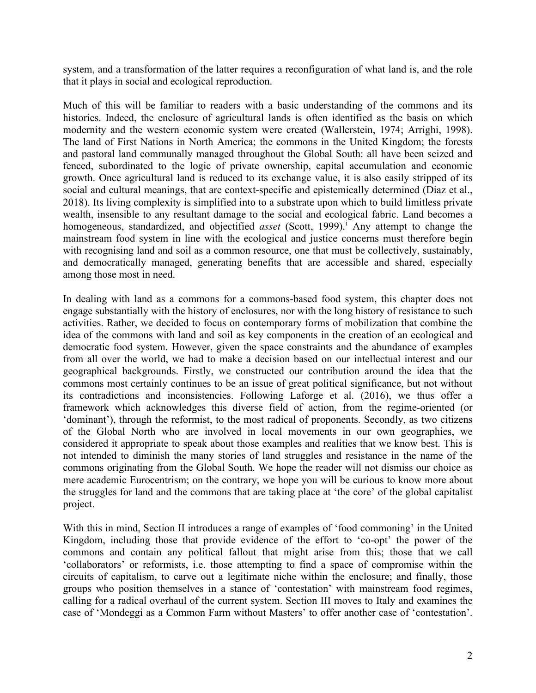system, and a transformation of the latter requires a reconfiguration of what land is, and the role that it plays in social and ecological reproduction.

Much of this will be familiar to readers with a basic understanding of the commons and its histories. Indeed, the enclosure of agricultural lands is often identified as the basis on which modernity and the western economic system were created (Wallerstein, 1974; Arrighi, 1998). The land of First Nations in North America; the commons in the United Kingdom; the forests and pastoral land communally managed throughout the Global South: all have been seized and fenced, subordinated to the logic of private ownership, capital accumulation and economic growth. Once agricultural land is reduced to its exchange value, it is also easily stripped of its social and cultural meanings, that are context-specific and epistemically determined (Diaz et al., 2018). Its living complexity is simplified into to a substrate upon which to build limitless private wealth, insensible to any resultant damage to the social and ecological fabric. Land becomes a homogeneous, standardized, and objectified *asset* (Scott, 1999). [i](#page-14-0) Any attempt to change the mainstream food system in line with the ecological and justice concerns must therefore begin with recognising land and soil as a common resource, one that must be collectively, sustainably, and democratically managed, generating benefits that are accessible and shared, especially among those most in need.

In dealing with land as a commons for a commons-based food system, this chapter does not engage substantially with the history of enclosures, nor with the long history of resistance to such activities. Rather, we decided to focus on contemporary forms of mobilization that combine the idea of the commons with land and soil as key components in the creation of an ecological and democratic food system. However, given the space constraints and the abundance of examples from all over the world, we had to make a decision based on our intellectual interest and our geographical backgrounds. Firstly, we constructed our contribution around the idea that the commons most certainly continues to be an issue of great political significance, but not without its contradictions and inconsistencies. Following Laforge et al. (2016), we thus offer a framework which acknowledges this diverse field of action, from the regime-oriented (or 'dominant'), through the reformist, to the most radical of proponents. Secondly, as two citizens of the Global North who are involved in local movements in our own geographies, we considered it appropriate to speak about those examples and realities that we know best. This is not intended to diminish the many stories of land struggles and resistance in the name of the commons originating from the Global South. We hope the reader will not dismiss our choice as mere academic Eurocentrism; on the contrary, we hope you will be curious to know more about the struggles for land and the commons that are taking place at 'the core' of the global capitalist project.

With this in mind, Section II introduces a range of examples of 'food commoning' in the United Kingdom, including those that provide evidence of the effort to 'co-opt' the power of the commons and contain any political fallout that might arise from this; those that we call 'collaborators' or reformists, i.e. those attempting to find a space of compromise within the circuits of capitalism, to carve out a legitimate niche within the enclosure; and finally, those groups who position themselves in a stance of 'contestation' with mainstream food regimes, calling for a radical overhaul of the current system. Section III moves to Italy and examines the case of 'Mondeggi as a Common Farm without Masters' to offer another case of 'contestation'.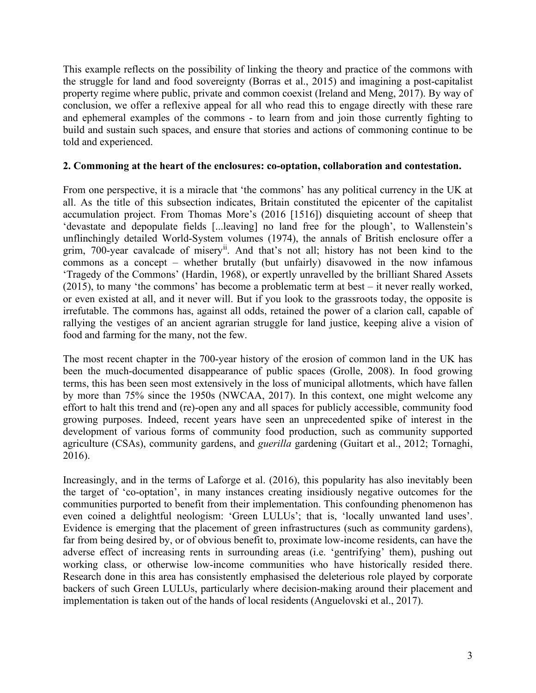This example reflects on the possibility of linking the theory and practice of the commons with the struggle for land and food sovereignty (Borras et al., 2015) and imagining a post-capitalist property regime where public, private and common coexist (Ireland and Meng, 2017). By way of conclusion, we offer a reflexive appeal for all who read this to engage directly with these rare and ephemeral examples of the commons - to learn from and join those currently fighting to build and sustain such spaces, and ensure that stories and actions of commoning continue to be told and experienced.

### **2. Commoning at the heart of the enclosures: co-optation, collaboration and contestation.**

From one perspective, it is a miracle that 'the commons' has any political currency in the UK at all. As the title of this subsection indicates, Britain constituted the epicenter of the capitalist accumulation project. From Thomas More's (2016 [1516]) disquieting account of sheep that 'devastate and depopulate fields [...leaving] no land free for the plough', to Wallenstein's unflinchingly detailed World-System volumes (1974), the annals of British enclosure offer a grim, 700-year cavalcade of misery[ii.](#page-14-1) And that's not all; history has not been kind to the commons as a concept – whether brutally (but unfairly) disavowed in the now infamous 'Tragedy of the Commons' (Hardin, 1968), or expertly unravelled by the brilliant Shared Assets (2015), to many 'the commons' has become a problematic term at best – it never really worked, or even existed at all, and it never will. But if you look to the grassroots today, the opposite is irrefutable. The commons has, against all odds, retained the power of a clarion call, capable of rallying the vestiges of an ancient agrarian struggle for land justice, keeping alive a vision of food and farming for the many, not the few.

The most recent chapter in the 700-year history of the erosion of common land in the UK has been the much-documented disappearance of public spaces (Grolle, 2008). In food growing terms, this has been seen most extensively in the loss of municipal allotments, which have fallen by more than 75% since the 1950s (NWCAA, 2017). In this context, one might welcome any effort to halt this trend and (re)-open any and all spaces for publicly accessible, community food growing purposes. Indeed, recent years have seen an unprecedented spike of interest in the development of various forms of community food production, such as community supported agriculture (CSAs), community gardens, and *guerilla* gardening (Guitart et al., 2012; Tornaghi, 2016).

Increasingly, and in the terms of Laforge et al. (2016), this popularity has also inevitably been the target of 'co-optation', in many instances creating insidiously negative outcomes for the communities purported to benefit from their implementation. This confounding phenomenon has even coined a delightful neologism: 'Green LULUs'; that is, 'locally unwanted land uses'. Evidence is emerging that the placement of green infrastructures (such as community gardens), far from being desired by, or of obvious benefit to, proximate low-income residents, can have the adverse effect of increasing rents in surrounding areas (i.e. 'gentrifying' them), pushing out working class, or otherwise low-income communities who have historically resided there. Research done in this area has consistently emphasised the deleterious role played by corporate backers of such Green LULUs, particularly where decision-making around their placement and implementation is taken out of the hands of local residents (Anguelovski et al., 2017).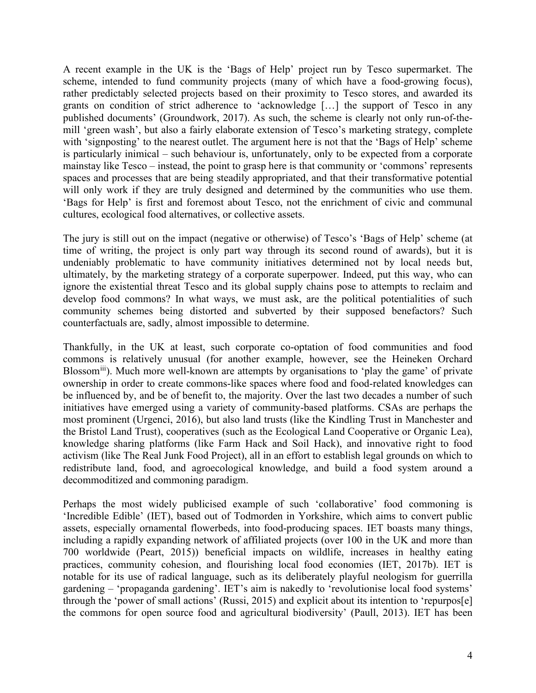A recent example in the UK is the 'Bags of Help' project run by Tesco supermarket. The scheme, intended to fund community projects (many of which have a food-growing focus), rather predictably selected projects based on their proximity to Tesco stores, and awarded its grants on condition of strict adherence to 'acknowledge […] the support of Tesco in any published documents' (Groundwork, 2017). As such, the scheme is clearly not only run-of-themill 'green wash', but also a fairly elaborate extension of Tesco's marketing strategy, complete with 'signposting' to the nearest outlet. The argument here is not that the 'Bags of Help' scheme is particularly inimical – such behaviour is, unfortunately, only to be expected from a corporate mainstay like Tesco – instead, the point to grasp here is that community or 'commons' represents spaces and processes that are being steadily appropriated, and that their transformative potential will only work if they are truly designed and determined by the communities who use them. 'Bags for Help' is first and foremost about Tesco, not the enrichment of civic and communal cultures, ecological food alternatives, or collective assets.

The jury is still out on the impact (negative or otherwise) of Tesco's 'Bags of Help' scheme (at time of writing, the project is only part way through its second round of awards), but it is undeniably problematic to have community initiatives determined not by local needs but, ultimately, by the marketing strategy of a corporate superpower. Indeed, put this way, who can ignore the existential threat Tesco and its global supply chains pose to attempts to reclaim and develop food commons? In what ways, we must ask, are the political potentialities of such community schemes being distorted and subverted by their supposed benefactors? Such counterfactuals are, sadly, almost impossible to determine.

Thankfully, in the UK at least, such corporate co-optation of food communities and food commons is relatively unusual (for another example, however, see the Heineken Orchard Blossom<sup>[iii](#page-14-2)</sup>). Much more well-known are attempts by organisations to 'play the game' of private ownership in order to create commons-like spaces where food and food-related knowledges can be influenced by, and be of benefit to, the majority. Over the last two decades a number of such initiatives have emerged using a variety of community-based platforms. CSAs are perhaps the most prominent (Urgenci, 2016), but also land trusts (like the Kindling Trust in Manchester and the Bristol Land Trust), cooperatives (such as the Ecological Land Cooperative or Organic Lea), knowledge sharing platforms (like Farm Hack and Soil Hack), and innovative right to food activism (like The Real Junk Food Project), all in an effort to establish legal grounds on which to redistribute land, food, and agroecological knowledge, and build a food system around a decommoditized and commoning paradigm.

Perhaps the most widely publicised example of such 'collaborative' food commoning is 'Incredible Edible' (IET), based out of Todmorden in Yorkshire, which aims to convert public assets, especially ornamental flowerbeds, into food-producing spaces. IET boasts many things, including a rapidly expanding network of affiliated projects (over 100 in the UK and more than 700 worldwide (Peart, 2015)) beneficial impacts on wildlife, increases in healthy eating practices, community cohesion, and flourishing local food economies (IET, 2017b). IET is notable for its use of radical language, such as its deliberately playful neologism for guerrilla gardening – 'propaganda gardening'. IET's aim is nakedly to 'revolutionise local food systems' through the 'power of small actions' (Russi, 2015) and explicit about its intention to 'repurpos[e] the commons for open source food and agricultural biodiversity' (Paull, 2013). IET has been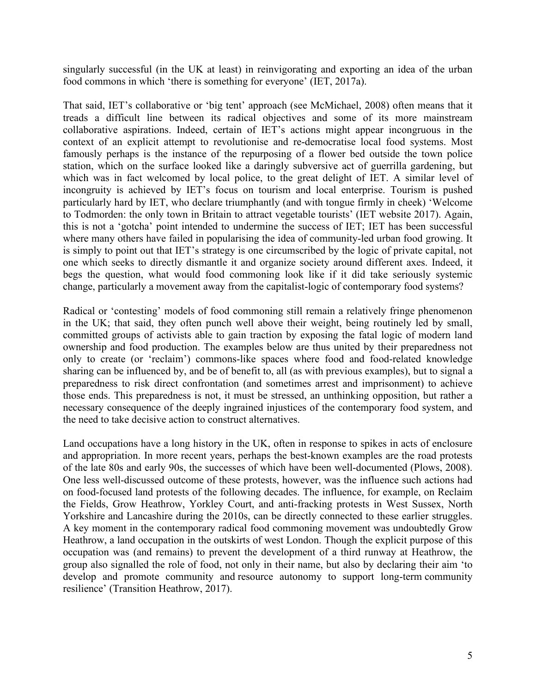singularly successful (in the UK at least) in reinvigorating and exporting an idea of the urban food commons in which 'there is something for everyone' (IET, 2017a).

That said, IET's collaborative or 'big tent' approach (see McMichael, 2008) often means that it treads a difficult line between its radical objectives and some of its more mainstream collaborative aspirations. Indeed, certain of IET's actions might appear incongruous in the context of an explicit attempt to revolutionise and re-democratise local food systems. Most famously perhaps is the instance of the repurposing of a flower bed outside the town police station, which on the surface looked like a daringly subversive act of guerrilla gardening, but which was in fact welcomed by local police, to the great delight of IET. A similar level of incongruity is achieved by IET's focus on tourism and local enterprise. Tourism is pushed particularly hard by IET, who declare triumphantly (and with tongue firmly in cheek) 'Welcome to Todmorden: the only town in Britain to attract vegetable tourists' (IET website 2017). Again, this is not a 'gotcha' point intended to undermine the success of IET; IET has been successful where many others have failed in popularising the idea of community-led urban food growing. It is simply to point out that IET's strategy is one circumscribed by the logic of private capital, not one which seeks to directly dismantle it and organize society around different axes. Indeed, it begs the question, what would food commoning look like if it did take seriously systemic change, particularly a movement away from the capitalist-logic of contemporary food systems?

Radical or 'contesting' models of food commoning still remain a relatively fringe phenomenon in the UK; that said, they often punch well above their weight, being routinely led by small, committed groups of activists able to gain traction by exposing the fatal logic of modern land ownership and food production. The examples below are thus united by their preparedness not only to create (or 'reclaim') commons-like spaces where food and food-related knowledge sharing can be influenced by, and be of benefit to, all (as with previous examples), but to signal a preparedness to risk direct confrontation (and sometimes arrest and imprisonment) to achieve those ends. This preparedness is not, it must be stressed, an unthinking opposition, but rather a necessary consequence of the deeply ingrained injustices of the contemporary food system, and the need to take decisive action to construct alternatives.

Land occupations have a long history in the UK, often in response to spikes in acts of enclosure and appropriation. In more recent years, perhaps the best-known examples are the road protests of the late 80s and early 90s, the successes of which have been well-documented (Plows, 2008). One less well-discussed outcome of these protests, however, was the influence such actions had on food-focused land protests of the following decades. The influence, for example, on Reclaim the Fields, Grow Heathrow, Yorkley Court, and anti-fracking protests in West Sussex, North Yorkshire and Lancashire during the 2010s, can be directly connected to these earlier struggles. A key moment in the contemporary radical food commoning movement was undoubtedly Grow Heathrow, a land occupation in the outskirts of west London. Though the explicit purpose of this occupation was (and remains) to prevent the development of a third runway at Heathrow, the group also signalled the role of food, not only in their name, but also by declaring their aim 'to develop and promote community and resource autonomy to support long-term community resilience' (Transition Heathrow, 2017).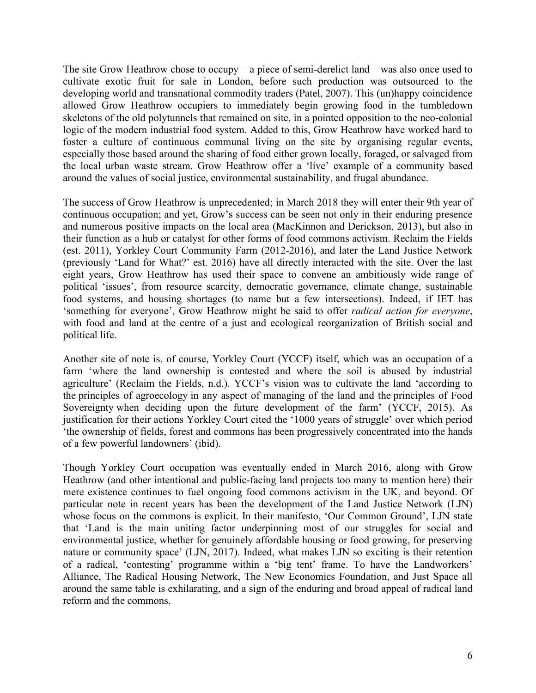The site Grow Heathrow chose to occupy – a piece of semi-derelict land – was also once used to cultivate exotic fruit for sale in London, before such production was outsourced to the developing world and transnational commodity traders (Patel, 2007). This (un)happy coincidence allowed Grow Heathrow occupiers to immediately begin growing food in the tumbledown skeletons of the old polytunnels that remained on site, in a pointed opposition to the neo-colonial logic of the modern industrial food system. Added to this, Grow Heathrow have worked hard to foster a culture of continuous communal living on the site by organising regular events, especially those based around the sharing of food either grown locally, foraged, or salvaged from the local urban waste stream. Grow Heathrow offer a 'live' example of a community based around the values of social justice, environmental sustainability, and frugal abundance.

The success of Grow Heathrow is unprecedented; in March 2018 they will enter their 9th year of continuous occupation; and yet, Grow's success can be seen not only in their enduring presence and numerous positive impacts on the local area (MacKinnon and Derickson, 2013), but also in their function as a hub or catalyst for other forms of food commons activism. Reclaim the Fields (est. 2011), Yorkley Court Community Farm (2012-2016), and later the Land Justice Network (previously 'Land for What?' est. 2016) have all directly interacted with the site. Over the last eight years, Grow Heathrow has used their space to convene an ambitiously wide range of political 'issues', from resource scarcity, democratic governance, climate change, sustainable food systems, and housing shortages (to name but a few intersections). Indeed, if IET has 'something for everyone', Grow Heathrow might be said to offer *radical action for everyone*, with food and land at the centre of a just and ecological reorganization of British social and political life.

Another site of note is, of course, Yorkley Court (YCCF) itself, which was an occupation of a farm 'where the land ownership is contested and where the soil is abused by industrial agriculture' (Reclaim the Fields, n.d.). YCCF's vision was to cultivate the land 'according to the [principles of agroecology](https://yorkleycourt.wordpress.com/principles-of-agroecology/) in any aspect of managing of the land and the [principles of Food](https://yorkleycourt.wordpress.com/food-sovereignty-principles/)  [Sovereignty](https://yorkleycourt.wordpress.com/food-sovereignty-principles/) when deciding upon the future development of the farm' (YCCF, 2015). As justification for their actions Yorkley Court cited the '1000 years of struggle' over which period 'the ownership of fields, forest and commons has been progressively concentrated into the hands of a few powerful landowners' (ibid).

Though Yorkley Court occupation was eventually ended in March 2016, along with Grow Heathrow (and other intentional and public-facing land projects too many to mention here) their mere existence continues to fuel ongoing food commons activism in the UK, and beyond. Of particular note in recent years has been the development of the Land Justice Network (LJN) whose focus on the commons is explicit. In their manifesto, 'Our Common Ground', LJN state that 'Land is the main uniting factor underpinning most of our struggles for social and environmental justice, whether for genuinely affordable housing or food growing, for preserving nature or community space' (LJN, 2017). Indeed, what makes LJN so exciting is their retention of a radical, 'contesting' programme within a 'big tent' frame. To have the Landworkers' Alliance, The Radical Housing Network, The New Economics Foundation, and Just Space all around the same table is exhilarating, and a sign of the enduring and broad appeal of radical land reform and the commons.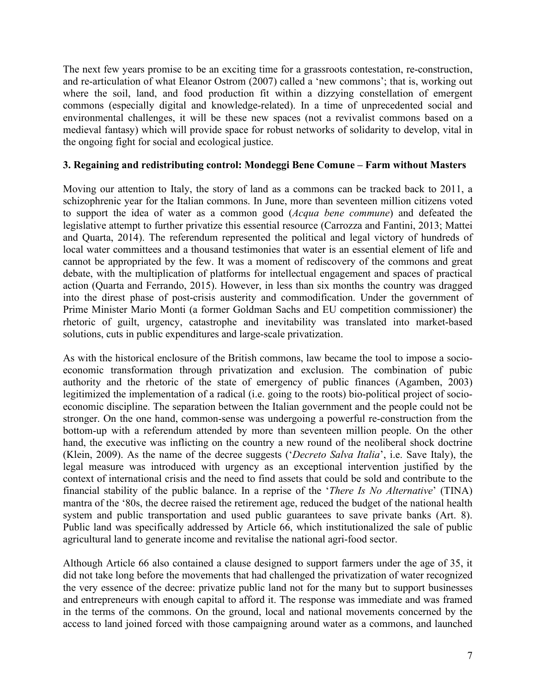The next few years promise to be an exciting time for a grassroots contestation, re-construction, and re-articulation of what Eleanor Ostrom (2007) called a 'new commons'; that is, working out where the soil, land, and food production fit within a dizzying constellation of emergent commons (especially digital and knowledge-related). In a time of unprecedented social and environmental challenges, it will be these new spaces (not a revivalist commons based on a medieval fantasy) which will provide space for robust networks of solidarity to develop, vital in the ongoing fight for social and ecological justice.

### **3. Regaining and redistributing control: Mondeggi Bene Comune – Farm without Masters**

Moving our attention to Italy, the story of land as a commons can be tracked back to 2011, a schizophrenic year for the Italian commons. In June, more than seventeen million citizens voted to support the idea of water as a common good (*Acqua bene commune*) and defeated the legislative attempt to further privatize this essential resource (Carrozza and Fantini, 2013; Mattei and Quarta, 2014). The referendum represented the political and legal victory of hundreds of local water committees and a thousand testimonies that water is an essential element of life and cannot be appropriated by the few. It was a moment of rediscovery of the commons and great debate, with the multiplication of platforms for intellectual engagement and spaces of practical action (Quarta and Ferrando, 2015). However, in less than six months the country was dragged into the direst phase of post-crisis austerity and commodification. Under the government of Prime Minister Mario Monti (a former Goldman Sachs and EU competition commissioner) the rhetoric of guilt, urgency, catastrophe and inevitability was translated into market-based solutions, cuts in public expenditures and large-scale privatization.

As with the historical enclosure of the British commons, law became the tool to impose a socioeconomic transformation through privatization and exclusion. The combination of pubic authority and the rhetoric of the state of emergency of public finances (Agamben, 2003) legitimized the implementation of a radical (i.e. going to the roots) bio-political project of socioeconomic discipline. The separation between the Italian government and the people could not be stronger. On the one hand, common-sense was undergoing a powerful re-construction from the bottom-up with a referendum attended by more than seventeen million people. On the other hand, the executive was inflicting on the country a new round of the neoliberal shock doctrine (Klein, 2009). As the name of the decree suggests ('*Decreto Salva Italia*', i.e. Save Italy), the legal measure was introduced with urgency as an exceptional intervention justified by the context of international crisis and the need to find assets that could be sold and contribute to the financial stability of the public balance. In a reprise of the '*There Is No Alternative*' (TINA) mantra of the '80s, the decree raised the retirement age, reduced the budget of the national health system and public transportation and used public guarantees to save private banks (Art. 8). Public land was specifically addressed by Article 66, which institutionalized the sale of public agricultural land to generate income and revitalise the national agri-food sector.

Although Article 66 also contained a clause designed to support farmers under the age of 35, it did not take long before the movements that had challenged the privatization of water recognized the very essence of the decree: privatize public land not for the many but to support businesses and entrepreneurs with enough capital to afford it. The response was immediate and was framed in the terms of the commons. On the ground, local and national movements concerned by the access to land joined forced with those campaigning around water as a commons, and launched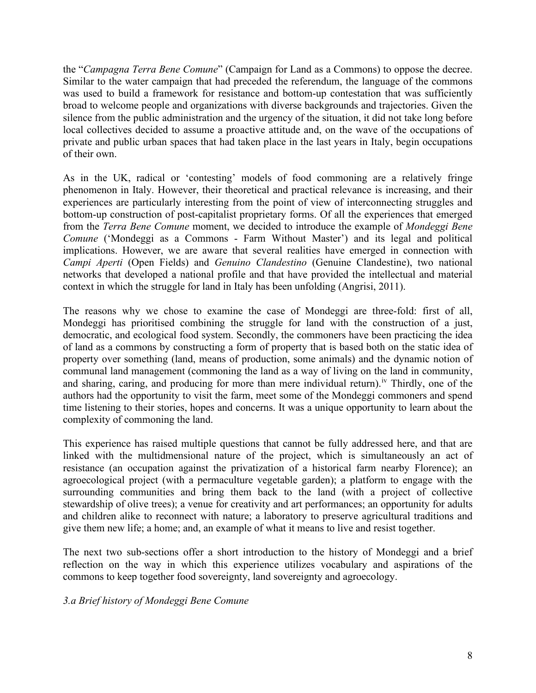the "*Campagna Terra Bene Comune*" (Campaign for Land as a Commons) to oppose the decree. Similar to the water campaign that had preceded the referendum, the language of the commons was used to build a framework for resistance and bottom-up contestation that was sufficiently broad to welcome people and organizations with diverse backgrounds and trajectories. Given the silence from the public administration and the urgency of the situation, it did not take long before local collectives decided to assume a proactive attitude and, on the wave of the occupations of private and public urban spaces that had taken place in the last years in Italy, begin occupations of their own.

As in the UK, radical or 'contesting' models of food commoning are a relatively fringe phenomenon in Italy. However, their theoretical and practical relevance is increasing, and their experiences are particularly interesting from the point of view of interconnecting struggles and bottom-up construction of post-capitalist proprietary forms. Of all the experiences that emerged from the *Terra Bene Comune* moment, we decided to introduce the example of *Mondeggi Bene Comune* ('Mondeggi as a Commons - Farm Without Master') and its legal and political implications. However, we are aware that several realities have emerged in connection with *Campi Aperti* (Open Fields) and *Genuino Clandestino* (Genuine Clandestine), two national networks that developed a national profile and that have provided the intellectual and material context in which the struggle for land in Italy has been unfolding (Angrisi, 2011).

The reasons why we chose to examine the case of Mondeggi are three-fold: first of all, Mondeggi has prioritised combining the struggle for land with the construction of a just, democratic, and ecological food system. Secondly, the commoners have been practicing the idea of land as a commons by constructing a form of property that is based both on the static idea of property over something (land, means of production, some animals) and the dynamic notion of communal land management (commoning the land as a way of living on the land in community, and sharing, caring, and producing for more than mere ind[iv](#page-14-3)idual return).<sup>iv</sup> Thirdly, one of the authors had the opportunity to visit the farm, meet some of the Mondeggi commoners and spend time listening to their stories, hopes and concerns. It was a unique opportunity to learn about the complexity of commoning the land.

This experience has raised multiple questions that cannot be fully addressed here, and that are linked with the multidmensional nature of the project, which is simultaneously an act of resistance (an occupation against the privatization of a historical farm nearby Florence); an agroecological project (with a permaculture vegetable garden); a platform to engage with the surrounding communities and bring them back to the land (with a project of collective stewardship of olive trees); a venue for creativity and art performances; an opportunity for adults and children alike to reconnect with nature; a laboratory to preserve agricultural traditions and give them new life; a home; and, an example of what it means to live and resist together.

The next two sub-sections offer a short introduction to the history of Mondeggi and a brief reflection on the way in which this experience utilizes vocabulary and aspirations of the commons to keep together food sovereignty, land sovereignty and agroecology.

*3.a Brief history of Mondeggi Bene Comune*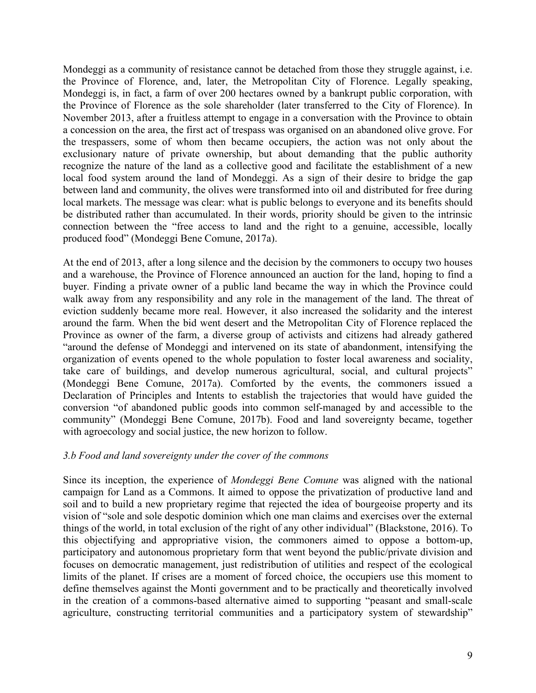Mondeggi as a community of resistance cannot be detached from those they struggle against, i.e. the Province of Florence, and, later, the Metropolitan City of Florence. Legally speaking, Mondeggi is, in fact, a farm of over 200 hectares owned by a bankrupt public corporation, with the Province of Florence as the sole shareholder (later transferred to the City of Florence). In November 2013, after a fruitless attempt to engage in a conversation with the Province to obtain a concession on the area, the first act of trespass was organised on an abandoned olive grove. For the trespassers, some of whom then became occupiers, the action was not only about the exclusionary nature of private ownership, but about demanding that the public authority recognize the nature of the land as a collective good and facilitate the establishment of a new local food system around the land of Mondeggi. As a sign of their desire to bridge the gap between land and community, the olives were transformed into oil and distributed for free during local markets. The message was clear: what is public belongs to everyone and its benefits should be distributed rather than accumulated. In their words, priority should be given to the intrinsic connection between the "free access to land and the right to a genuine, accessible, locally produced food" (Mondeggi Bene Comune, 2017a).

At the end of 2013, after a long silence and the decision by the commoners to occupy two houses and a warehouse, the Province of Florence announced an auction for the land, hoping to find a buyer. Finding a private owner of a public land became the way in which the Province could walk away from any responsibility and any role in the management of the land. The threat of eviction suddenly became more real. However, it also increased the solidarity and the interest around the farm. When the bid went desert and the Metropolitan City of Florence replaced the Province as owner of the farm, a diverse group of activists and citizens had already gathered "around the defense of Mondeggi and intervened on its state of abandonment, intensifying the organization of events opened to the whole population to foster local awareness and sociality, take care of buildings, and develop numerous agricultural, social, and cultural projects" (Mondeggi Bene Comune, 2017a). Comforted by the events, the commoners issued a Declaration of Principles and Intents to establish the trajectories that would have guided the conversion "of abandoned public goods into common self-managed by and accessible to the community" (Mondeggi Bene Comune, 2017b). Food and land sovereignty became, together with agroecology and social justice, the new horizon to follow.

### *3.b Food and land sovereignty under the cover of the commons*

Since its inception, the experience of *Mondeggi Bene Comune* was aligned with the national campaign for Land as a Commons. It aimed to oppose the privatization of productive land and soil and to build a new proprietary regime that rejected the idea of bourgeoise property and its vision of "sole and sole despotic dominion which one man claims and exercises over the external things of the world, in total exclusion of the right of any other individual" (Blackstone, 2016). To this objectifying and appropriative vision, the commoners aimed to oppose a bottom-up, participatory and autonomous proprietary form that went beyond the public/private division and focuses on democratic management, just redistribution of utilities and respect of the ecological limits of the planet. If crises are a moment of forced choice, the occupiers use this moment to define themselves against the Monti government and to be practically and theoretically involved in the creation of a commons-based alternative aimed to supporting "peasant and small-scale agriculture, constructing territorial communities and a participatory system of stewardship"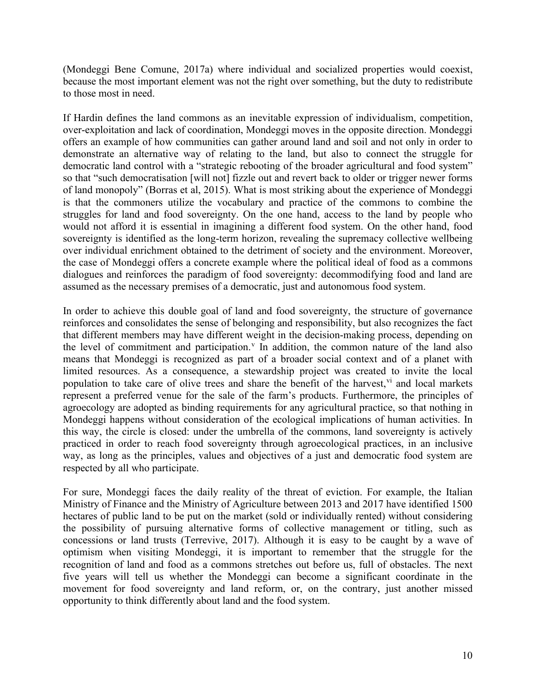(Mondeggi Bene Comune, 2017a) where individual and socialized properties would coexist, because the most important element was not the right over something, but the duty to redistribute to those most in need.

If Hardin defines the land commons as an inevitable expression of individualism, competition, over-exploitation and lack of coordination, Mondeggi moves in the opposite direction. Mondeggi offers an example of how communities can gather around land and soil and not only in order to demonstrate an alternative way of relating to the land, but also to connect the struggle for democratic land control with a "strategic rebooting of the broader agricultural and food system" so that "such democratisation [will not] fizzle out and revert back to older or trigger newer forms of land monopoly" (Borras et al, 2015). What is most striking about the experience of Mondeggi is that the commoners utilize the vocabulary and practice of the commons to combine the struggles for land and food sovereignty. On the one hand, access to the land by people who would not afford it is essential in imagining a different food system. On the other hand, food sovereignty is identified as the long-term horizon, revealing the supremacy collective wellbeing over individual enrichment obtained to the detriment of society and the environment. Moreover, the case of Mondeggi offers a concrete example where the political ideal of food as a commons dialogues and reinforces the paradigm of food sovereignty: decommodifying food and land are assumed as the necessary premises of a democratic, just and autonomous food system.

In order to achieve this double goal of land and food sovereignty, the structure of governance reinforces and consolidates the sense of belonging and responsibility, but also recognizes the fact that different members may have different weight in the decision-making process, depending on the le[v](#page-14-4)el of commitment and participation.<sup> $v$ </sup> In addition, the common nature of the land also means that Mondeggi is recognized as part of a broader social context and of a planet with limited resources. As a consequence, a stewardship project was created to invite the local population to take care of olive trees and share the benefit of the harvest,<sup>[vi](#page-14-5)</sup> and local markets represent a preferred venue for the sale of the farm's products. Furthermore, the principles of agroecology are adopted as binding requirements for any agricultural practice, so that nothing in Mondeggi happens without consideration of the ecological implications of human activities. In this way, the circle is closed: under the umbrella of the commons, land sovereignty is actively practiced in order to reach food sovereignty through agroecological practices, in an inclusive way, as long as the principles, values and objectives of a just and democratic food system are respected by all who participate.

For sure, Mondeggi faces the daily reality of the threat of eviction. For example, the Italian Ministry of Finance and the Ministry of Agriculture between 2013 and 2017 have identified 1500 hectares of public land to be put on the market (sold or individually rented) without considering the possibility of pursuing alternative forms of collective management or titling, such as concessions or land trusts (Terrevive, 2017). Although it is easy to be caught by a wave of optimism when visiting Mondeggi, it is important to remember that the struggle for the recognition of land and food as a commons stretches out before us, full of obstacles. The next five years will tell us whether the Mondeggi can become a significant coordinate in the movement for food sovereignty and land reform, or, on the contrary, just another missed opportunity to think differently about land and the food system.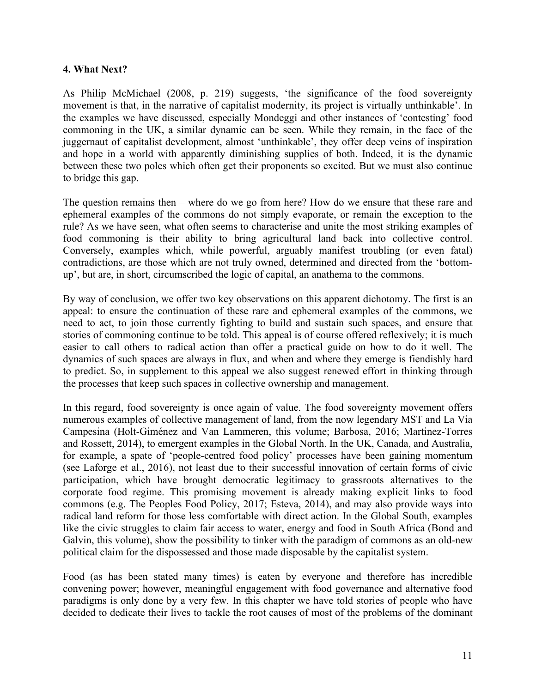## **4. What Next?**

As Philip McMichael (2008, p. 219) suggests, 'the significance of the food sovereignty movement is that, in the narrative of capitalist modernity, its project is virtually unthinkable'. In the examples we have discussed, especially Mondeggi and other instances of 'contesting' food commoning in the UK, a similar dynamic can be seen. While they remain, in the face of the juggernaut of capitalist development, almost 'unthinkable', they offer deep veins of inspiration and hope in a world with apparently diminishing supplies of both. Indeed, it is the dynamic between these two poles which often get their proponents so excited. But we must also continue to bridge this gap.

The question remains then – where do we go from here? How do we ensure that these rare and ephemeral examples of the commons do not simply evaporate, or remain the exception to the rule? As we have seen, what often seems to characterise and unite the most striking examples of food commoning is their ability to bring agricultural land back into collective control. Conversely, examples which, while powerful, arguably manifest troubling (or even fatal) contradictions, are those which are not truly owned, determined and directed from the 'bottomup', but are, in short, circumscribed the logic of capital, an anathema to the commons.

By way of conclusion, we offer two key observations on this apparent dichotomy. The first is an appeal: to ensure the continuation of these rare and ephemeral examples of the commons, we need to act, to join those currently fighting to build and sustain such spaces, and ensure that stories of commoning continue to be told. This appeal is of course offered reflexively; it is much easier to call others to radical action than offer a practical guide on how to do it well. The dynamics of such spaces are always in flux, and when and where they emerge is fiendishly hard to predict. So, in supplement to this appeal we also suggest renewed effort in thinking through the processes that keep such spaces in collective ownership and management.

In this regard, food sovereignty is once again of value. The food sovereignty movement offers numerous examples of collective management of land, from the now legendary MST and La Via Campesina (Holt-Giménez and Van Lammeren, this volume; Barbosa, 2016; Martinez-Torres and Rossett, 2014), to emergent examples in the Global North. In the UK, Canada, and Australia, for example, a spate of 'people-centred food policy' processes have been gaining momentum (see Laforge et al., 2016), not least due to their successful innovation of certain forms of civic participation, which have brought democratic legitimacy to grassroots alternatives to the corporate food regime. This promising movement is already making explicit links to food commons (e.g. The Peoples Food Policy, 2017; Esteva, 2014), and may also provide ways into radical land reform for those less comfortable with direct action. In the Global South, examples like the civic struggles to claim fair access to water, energy and food in South Africa (Bond and Galvin, this volume), show the possibility to tinker with the paradigm of commons as an old-new political claim for the dispossessed and those made disposable by the capitalist system.

Food (as has been stated many times) is eaten by everyone and therefore has incredible convening power; however, meaningful engagement with food governance and alternative food paradigms is only done by a very few. In this chapter we have told stories of people who have decided to dedicate their lives to tackle the root causes of most of the problems of the dominant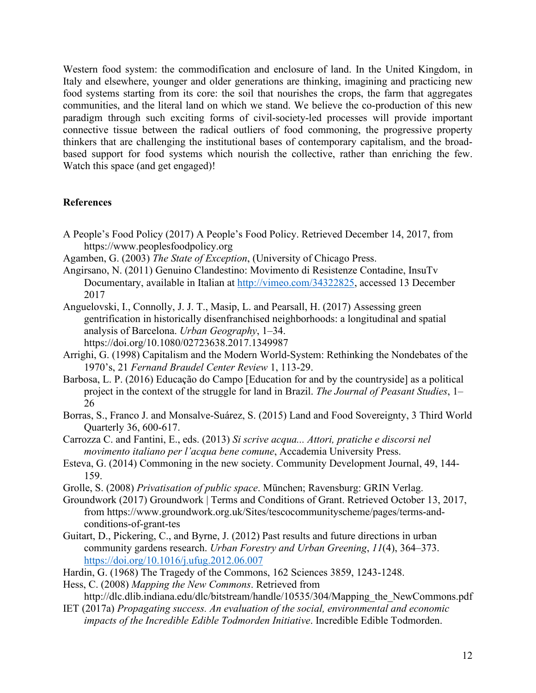Western food system: the commodification and enclosure of land. In the United Kingdom, in Italy and elsewhere, younger and older generations are thinking, imagining and practicing new food systems starting from its core: the soil that nourishes the crops, the farm that aggregates communities, and the literal land on which we stand. We believe the co-production of this new paradigm through such exciting forms of civil-society-led processes will provide important connective tissue between the radical outliers of food commoning, the progressive property thinkers that are challenging the institutional bases of contemporary capitalism, and the broadbased support for food systems which nourish the collective, rather than enriching the few. Watch this space (and get engaged)!

# **References**

- A People's Food Policy (2017) A People's Food Policy. Retrieved December 14, 2017, from https://www.peoplesfoodpolicy.org
- Agamben, G. (2003) *The State of Exception*, (University of Chicago Press.
- Angirsano, N. (2011) Genuino Clandestino: Movimento di Resistenze Contadine, InsuTv Documentary, available in Italian at [http://vimeo.com/34322825,](http://vimeo.com/34322825) accessed 13 December 2017
- Anguelovski, I., Connolly, J. J. T., Masip, L. and Pearsall, H. (2017) Assessing green gentrification in historically disenfranchised neighborhoods: a longitudinal and spatial analysis of Barcelona. *Urban Geography*, 1–34. https://doi.org/10.1080/02723638.2017.1349987
- Arrighi, G. (1998) Capitalism and the Modern World-System: Rethinking the Nondebates of the 1970's, 21 *Fernand Braudel Center Review* 1, 113-29.
- Barbosa, L. P. (2016) Educação do Campo [Education for and by the countryside] as a political project in the context of the struggle for land in Brazil. *The Journal of Peasant Studies*, 1– 26
- Borras, S., Franco J. and Monsalve-Suárez, S. (2015) Land and Food Sovereignty, 3 Third World Quarterly 36, 600-617.
- Carrozza C. and Fantini, E., eds. (2013) *Si scrive acqua... Attori, pratiche e discorsi nel movimento italiano per l'acqua bene comune*, Accademia University Press.
- Esteva, G. (2014) Commoning in the new society. Community Development Journal, 49, 144- 159.
- Grolle, S. (2008) *Privatisation of public space*. München; Ravensburg: GRIN Verlag.
- Groundwork (2017) Groundwork | Terms and Conditions of Grant. Retrieved October 13, 2017, from https://www.groundwork.org.uk/Sites/tescocommunityscheme/pages/terms-andconditions-of-grant-tes
- Guitart, D., Pickering, C., and Byrne, J. (2012) Past results and future directions in urban community gardens research. *Urban Forestry and Urban Greening*, *11*(4), 364–373. <https://doi.org/10.1016/j.ufug.2012.06.007>
- Hardin, G. (1968) The Tragedy of the Commons, 162 Sciences 3859, 1243-1248.
- Hess, C. (2008) *Mapping the New Commons*. Retrieved from

http://dlc.dlib.indiana.edu/dlc/bitstream/handle/10535/304/Mapping the NewCommons.pdf

IET (2017a) *Propagating success. An evaluation of the social, environmental and economic impacts of the Incredible Edible Todmorden Initiative*. Incredible Edible Todmorden.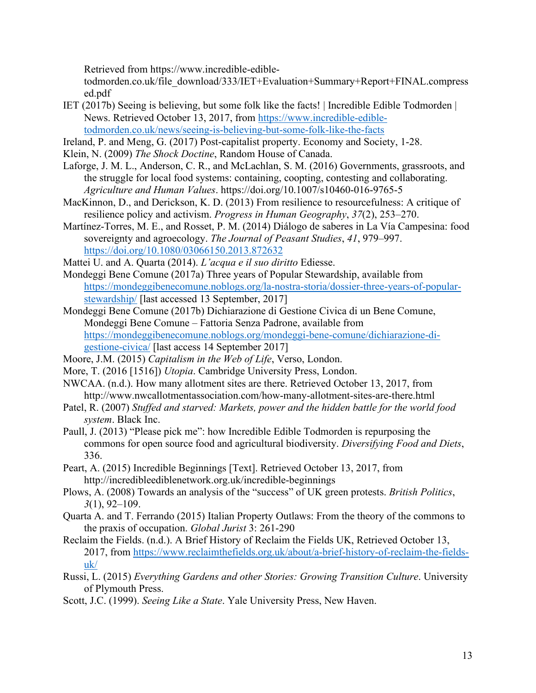Retrieved from https://www.incredible-edible-

todmorden.co.uk/file\_download/333/IET+Evaluation+Summary+Report+FINAL.compress ed.pdf

- IET (2017b) Seeing is believing, but some folk like the facts! | Incredible Edible Todmorden | News. Retrieved October 13, 2017, from [https://www.incredible-edible](https://www.incredible-edible-todmorden.co.uk/news/seeing-is-believing-but-some-folk-like-the-facts)[todmorden.co.uk/news/seeing-is-believing-but-some-folk-like-the-facts](https://www.incredible-edible-todmorden.co.uk/news/seeing-is-believing-but-some-folk-like-the-facts)
- Ireland, P. and Meng, G. (2017) Post-capitalist property. Economy and Society, 1-28.
- Klein, N. (2009) *The Shock Doctine*, Random House of Canada.
- Laforge, J. M. L., Anderson, C. R., and McLachlan, S. M. (2016) Governments, grassroots, and the struggle for local food systems: containing, coopting, contesting and collaborating. *Agriculture and Human Values*. https://doi.org/10.1007/s10460-016-9765-5
- MacKinnon, D., and Derickson, K. D. (2013) From resilience to resourcefulness: A critique of resilience policy and activism. *Progress in Human Geography*, *37*(2), 253–270.
- Martínez-Torres, M. E., and Rosset, P. M. (2014) Diálogo de saberes in La Vía Campesina: food sovereignty and agroecology. *The Journal of Peasant Studies*, *41*, 979–997. <https://doi.org/10.1080/03066150.2013.872632>
- Mattei U. and A. Quarta (2014). *L'acqua e il suo diritto* Ediesse.
- Mondeggi Bene Comune (2017a) Three years of Popular Stewardship, available from [https://mondeggibenecomune.noblogs.org/la-nostra-storia/dossier-three-years-of-popular](https://mondeggibenecomune.noblogs.org/la-nostra-storia/dossier-three-years-of-popular-stewardship/)[stewardship/](https://mondeggibenecomune.noblogs.org/la-nostra-storia/dossier-three-years-of-popular-stewardship/) [last accessed 13 September, 2017]
- Mondeggi Bene Comune (2017b) Dichiarazione di Gestione Civica di un Bene Comune, Mondeggi Bene Comune – Fattoria Senza Padrone, available from [https://mondeggibenecomune.noblogs.org/mondeggi-bene-comune/dichiarazione-di](https://mondeggibenecomune.noblogs.org/mondeggi-bene-comune/dichiarazione-di-gestione-civica/)[gestione-civica/](https://mondeggibenecomune.noblogs.org/mondeggi-bene-comune/dichiarazione-di-gestione-civica/) [last access 14 September 2017]
- Moore, J.M. (2015) *Capitalism in the Web of Life*, Verso, London.
- More, T. (2016 [1516]) *Utopia*. Cambridge University Press, London.
- NWCAA. (n.d.). How many allotment sites are there. Retrieved October 13, 2017, from http://www.nwcallotmentassociation.com/how-many-allotment-sites-are-there.html
- Patel, R. (2007) *Stuffed and starved: Markets, power and the hidden battle for the world food system*. Black Inc.
- Paull, J. (2013) "Please pick me": how Incredible Edible Todmorden is repurposing the commons for open source food and agricultural biodiversity. *Diversifying Food and Diets*, 336.
- Peart, A. (2015) Incredible Beginnings [Text]. Retrieved October 13, 2017, from http://incredibleediblenetwork.org.uk/incredible-beginnings
- Plows, A. (2008) Towards an analysis of the "success" of UK green protests. *British Politics*, *3*(1), 92–109.
- Quarta A. and T. Ferrando (2015) Italian Property Outlaws: From the theory of the commons to the praxis of occupation. *Global Jurist* 3: 261-290
- Reclaim the Fields. (n.d.). A Brief History of Reclaim the Fields UK, Retrieved October 13, 2017, from [https://www.reclaimthefields.org.uk/about/a-brief-history-of-reclaim-the-fields](https://www.reclaimthefields.org.uk/about/a-brief-history-of-reclaim-the-fields-uk/)[uk/](https://www.reclaimthefields.org.uk/about/a-brief-history-of-reclaim-the-fields-uk/)
- Russi, L. (2015) *Everything Gardens and other Stories: Growing Transition Culture*. University of Plymouth Press.
- Scott, J.C. (1999). *Seeing Like a State*. Yale University Press, New Haven.